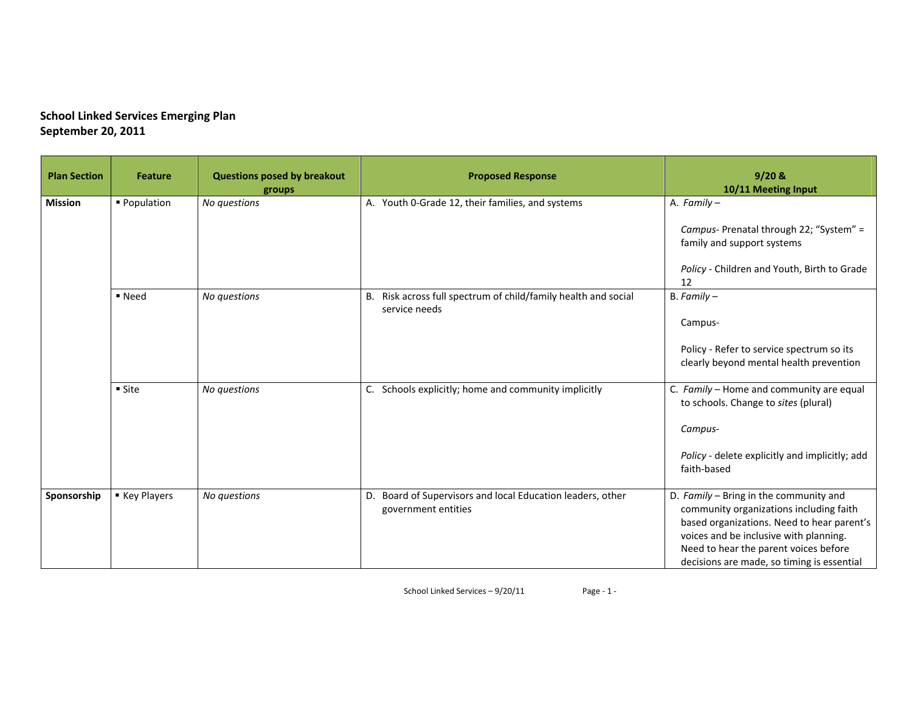| <b>Plan Section</b> | <b>Feature</b> | <b>Questions posed by breakout</b><br>groups | <b>Proposed Response</b>                                                             | $9/20$ &<br>10/11 Meeting Input                                                                                                                                                                                                                                  |
|---------------------|----------------|----------------------------------------------|--------------------------------------------------------------------------------------|------------------------------------------------------------------------------------------------------------------------------------------------------------------------------------------------------------------------------------------------------------------|
| <b>Mission</b>      | ■ Population   | No questions                                 | A. Youth 0-Grade 12, their families, and systems                                     | A. Family -<br>Campus- Prenatal through 22; "System" =<br>family and support systems<br>Policy - Children and Youth, Birth to Grade                                                                                                                              |
|                     | ■ Need         | No questions                                 | B. Risk across full spectrum of child/family health and social<br>service needs      | 12<br>$B. Family -$<br>Campus-<br>Policy - Refer to service spectrum so its                                                                                                                                                                                      |
|                     | ■ Site         | No questions                                 | C. Schools explicitly; home and community implicitly                                 | clearly beyond mental health prevention<br>C. Family - Home and community are equal<br>to schools. Change to sites (plural)<br>Campus-<br>Policy - delete explicitly and implicitly; add<br>faith-based                                                          |
| Sponsorship         | ■ Key Players  | No questions                                 | Board of Supervisors and local Education leaders, other<br>D.<br>government entities | D. Family - Bring in the community and<br>community organizations including faith<br>based organizations. Need to hear parent's<br>voices and be inclusive with planning.<br>Need to hear the parent voices before<br>decisions are made, so timing is essential |

School Linked Services – 9/20/11 Page ‐ 1 ‐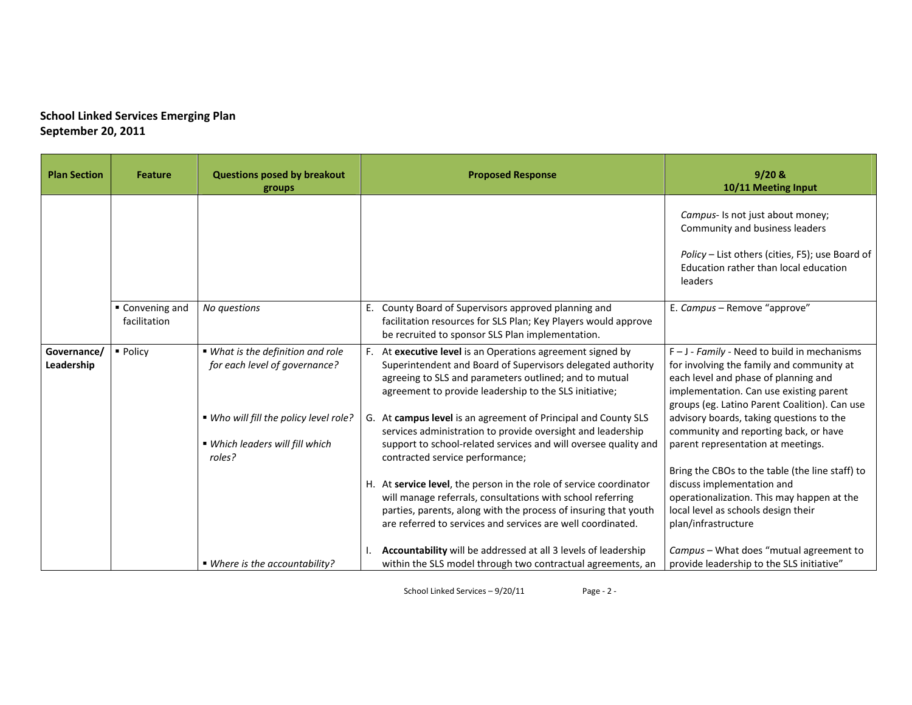| <b>Plan Section</b>       | <b>Feature</b>                  | <b>Questions posed by breakout</b><br>groups                                        | <b>Proposed Response</b>                                                                                                                                                                                                                                           | 9/20 &<br>10/11 Meeting Input                                                                                                                                                                                                   |
|---------------------------|---------------------------------|-------------------------------------------------------------------------------------|--------------------------------------------------------------------------------------------------------------------------------------------------------------------------------------------------------------------------------------------------------------------|---------------------------------------------------------------------------------------------------------------------------------------------------------------------------------------------------------------------------------|
|                           |                                 |                                                                                     |                                                                                                                                                                                                                                                                    | Campus- Is not just about money;<br>Community and business leaders<br>Policy - List others (cities, F5); use Board of<br>Education rather than local education<br>leaders                                                       |
|                           | ■ Convening and<br>facilitation | No questions                                                                        | E. County Board of Supervisors approved planning and<br>facilitation resources for SLS Plan; Key Players would approve<br>be recruited to sponsor SLS Plan implementation.                                                                                         | E. Campus - Remove "approve"                                                                                                                                                                                                    |
| Governance/<br>Leadership | • Policy                        | ■ What is the definition and role<br>for each level of governance?                  | At executive level is an Operations agreement signed by<br>Superintendent and Board of Supervisors delegated authority<br>agreeing to SLS and parameters outlined; and to mutual<br>agreement to provide leadership to the SLS initiative;                         | $F - J$ - Family - Need to build in mechanisms<br>for involving the family and community at<br>each level and phase of planning and<br>implementation. Can use existing parent<br>groups (eg. Latino Parent Coalition). Can use |
|                           |                                 | . Who will fill the policy level role?<br>■ Which leaders will fill which<br>roles? | At campus level is an agreement of Principal and County SLS<br>G.<br>services administration to provide oversight and leadership<br>support to school-related services and will oversee quality and<br>contracted service performance;                             | advisory boards, taking questions to the<br>community and reporting back, or have<br>parent representation at meetings.                                                                                                         |
|                           |                                 |                                                                                     | H. At service level, the person in the role of service coordinator<br>will manage referrals, consultations with school referring<br>parties, parents, along with the process of insuring that youth<br>are referred to services and services are well coordinated. | Bring the CBOs to the table (the line staff) to<br>discuss implementation and<br>operationalization. This may happen at the<br>local level as schools design their<br>plan/infrastructure                                       |
|                           |                                 | ■ Where is the accountability?                                                      | Accountability will be addressed at all 3 levels of leadership<br>within the SLS model through two contractual agreements, an                                                                                                                                      | Campus - What does "mutual agreement to<br>provide leadership to the SLS initiative"                                                                                                                                            |

School Linked Services – 9/20/11 Page ‐ 2 ‐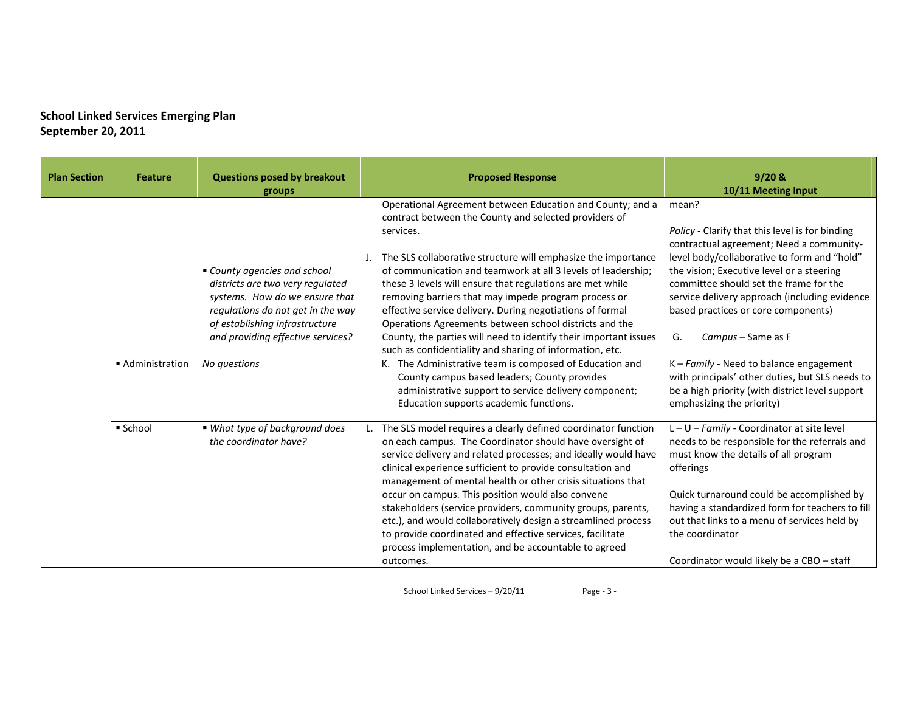| <b>Plan Section</b> | <b>Feature</b> | <b>Questions posed by breakout</b><br>groups                                                                                                                                                                 | <b>Proposed Response</b>                                                                                                                                                                                                                                                                                                                                                                                                                                                                                                                                                                                                                        | 9/20 &<br>10/11 Meeting Input                                                                                                                                                                                                                                                                                                                                  |
|---------------------|----------------|--------------------------------------------------------------------------------------------------------------------------------------------------------------------------------------------------------------|-------------------------------------------------------------------------------------------------------------------------------------------------------------------------------------------------------------------------------------------------------------------------------------------------------------------------------------------------------------------------------------------------------------------------------------------------------------------------------------------------------------------------------------------------------------------------------------------------------------------------------------------------|----------------------------------------------------------------------------------------------------------------------------------------------------------------------------------------------------------------------------------------------------------------------------------------------------------------------------------------------------------------|
|                     |                | County agencies and school<br>districts are two very regulated<br>systems. How do we ensure that<br>regulations do not get in the way<br>of establishing infrastructure<br>and providing effective services? | Operational Agreement between Education and County; and a<br>contract between the County and selected providers of<br>services.<br>The SLS collaborative structure will emphasize the importance<br>of communication and teamwork at all 3 levels of leadership;<br>these 3 levels will ensure that regulations are met while<br>removing barriers that may impede program process or<br>effective service delivery. During negotiations of formal<br>Operations Agreements between school districts and the<br>County, the parties will need to identify their important issues<br>such as confidentiality and sharing of information, etc.    | mean?<br>Policy - Clarify that this level is for binding<br>contractual agreement; Need a community-<br>level body/collaborative to form and "hold"<br>the vision; Executive level or a steering<br>committee should set the frame for the<br>service delivery approach (including evidence<br>based practices or core components)<br>G.<br>Campus - Same as F |
|                     | Administration | No questions                                                                                                                                                                                                 | K. The Administrative team is composed of Education and<br>County campus based leaders; County provides<br>administrative support to service delivery component;<br>Education supports academic functions.                                                                                                                                                                                                                                                                                                                                                                                                                                      | $K$ – Family - Need to balance engagement<br>with principals' other duties, but SLS needs to<br>be a high priority (with district level support<br>emphasizing the priority)                                                                                                                                                                                   |
|                     | School         | ■ What type of background does<br>the coordinator have?                                                                                                                                                      | The SLS model requires a clearly defined coordinator function<br>on each campus. The Coordinator should have oversight of<br>service delivery and related processes; and ideally would have<br>clinical experience sufficient to provide consultation and<br>management of mental health or other crisis situations that<br>occur on campus. This position would also convene<br>stakeholders (service providers, community groups, parents,<br>etc.), and would collaboratively design a streamlined process<br>to provide coordinated and effective services, facilitate<br>process implementation, and be accountable to agreed<br>outcomes. | L-U-Family - Coordinator at site level<br>needs to be responsible for the referrals and<br>must know the details of all program<br>offerings<br>Quick turnaround could be accomplished by<br>having a standardized form for teachers to fill<br>out that links to a menu of services held by<br>the coordinator<br>Coordinator would likely be a CBO - staff   |

School Linked Services – 9/20/11 Page ‐ 3 ‐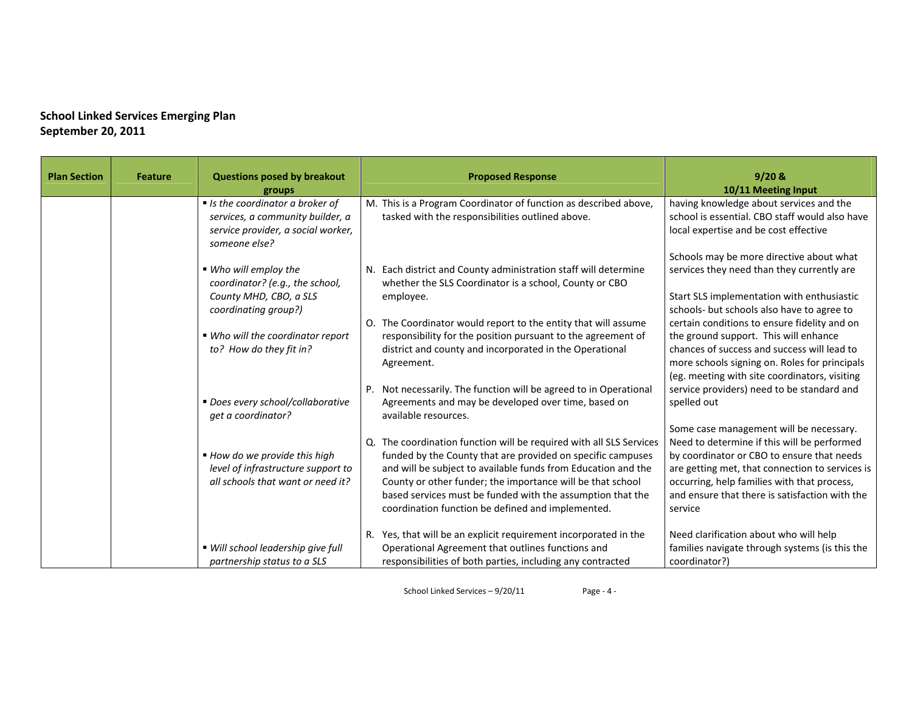| <b>Plan Section</b> | <b>Feature</b> | <b>Questions posed by breakout</b><br>groups                                                                                 | <b>Proposed Response</b>                                                                                                                                                                                                                                                                                                                                                             | $9/20$ &<br>10/11 Meeting Input                                                                                                                                                                                                                                                                     |
|---------------------|----------------|------------------------------------------------------------------------------------------------------------------------------|--------------------------------------------------------------------------------------------------------------------------------------------------------------------------------------------------------------------------------------------------------------------------------------------------------------------------------------------------------------------------------------|-----------------------------------------------------------------------------------------------------------------------------------------------------------------------------------------------------------------------------------------------------------------------------------------------------|
|                     |                | If Is the coordinator a broker of<br>services, a community builder, a<br>service provider, a social worker,<br>someone else? | M. This is a Program Coordinator of function as described above,<br>tasked with the responsibilities outlined above.                                                                                                                                                                                                                                                                 | having knowledge about services and the<br>school is essential. CBO staff would also have<br>local expertise and be cost effective                                                                                                                                                                  |
|                     |                | ■ Who will employ the<br>coordinator? (e.g., the school,<br>County MHD, CBO, a SLS                                           | N. Each district and County administration staff will determine<br>whether the SLS Coordinator is a school, County or CBO<br>employee.                                                                                                                                                                                                                                               | Schools may be more directive about what<br>services they need than they currently are<br>Start SLS implementation with enthusiastic                                                                                                                                                                |
|                     |                | coordinating group?)<br>■ Who will the coordinator report<br>to? How do they fit in?                                         | O. The Coordinator would report to the entity that will assume<br>responsibility for the position pursuant to the agreement of<br>district and county and incorporated in the Operational<br>Agreement.                                                                                                                                                                              | schools- but schools also have to agree to<br>certain conditions to ensure fidelity and on<br>the ground support. This will enhance<br>chances of success and success will lead to<br>more schools signing on. Roles for principals<br>(eg. meeting with site coordinators, visiting                |
|                     |                | ■ Does every school/collaborative<br>get a coordinator?                                                                      | Not necessarily. The function will be agreed to in Operational<br>P.<br>Agreements and may be developed over time, based on<br>available resources.                                                                                                                                                                                                                                  | service providers) need to be standard and<br>spelled out                                                                                                                                                                                                                                           |
|                     |                | ■ How do we provide this high<br>level of infrastructure support to<br>all schools that want or need it?                     | Q. The coordination function will be required with all SLS Services<br>funded by the County that are provided on specific campuses<br>and will be subject to available funds from Education and the<br>County or other funder; the importance will be that school<br>based services must be funded with the assumption that the<br>coordination function be defined and implemented. | Some case management will be necessary.<br>Need to determine if this will be performed<br>by coordinator or CBO to ensure that needs<br>are getting met, that connection to services is<br>occurring, help families with that process,<br>and ensure that there is satisfaction with the<br>service |
|                     |                | ■ Will school leadership give full<br>partnership status to a SLS                                                            | R. Yes, that will be an explicit requirement incorporated in the<br>Operational Agreement that outlines functions and<br>responsibilities of both parties, including any contracted                                                                                                                                                                                                  | Need clarification about who will help<br>families navigate through systems (is this the<br>coordinator?)                                                                                                                                                                                           |

School Linked Services – 9/20/11 Page ‐ 4 ‐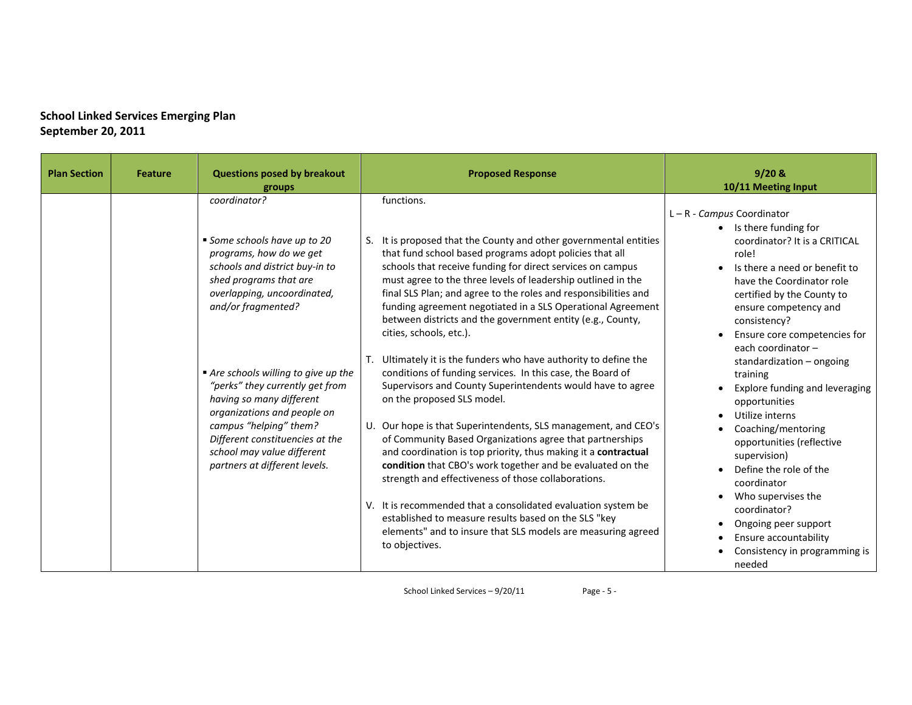| <b>Plan Section</b> | <b>Feature</b> | <b>Questions posed by breakout</b><br>groups                                                                                                                                                                                                                 | <b>Proposed Response</b>                                                                                                                                                                                                                                                                                                                                                                                                                                                                         | $9/20$ &<br>10/11 Meeting Input                                                                                                                                                                                                                                              |
|---------------------|----------------|--------------------------------------------------------------------------------------------------------------------------------------------------------------------------------------------------------------------------------------------------------------|--------------------------------------------------------------------------------------------------------------------------------------------------------------------------------------------------------------------------------------------------------------------------------------------------------------------------------------------------------------------------------------------------------------------------------------------------------------------------------------------------|------------------------------------------------------------------------------------------------------------------------------------------------------------------------------------------------------------------------------------------------------------------------------|
|                     |                | coordinator?<br>Some schools have up to 20<br>programs, how do we get<br>schools and district buy-in to<br>shed programs that are<br>overlapping, uncoordinated,<br>and/or fragmented?                                                                       | functions.<br>It is proposed that the County and other governmental entities<br>that fund school based programs adopt policies that all<br>schools that receive funding for direct services on campus<br>must agree to the three levels of leadership outlined in the<br>final SLS Plan; and agree to the roles and responsibilities and<br>funding agreement negotiated in a SLS Operational Agreement<br>between districts and the government entity (e.g., County,<br>cities, schools, etc.). | $L - R - \textit{Campus}$ Coordinator<br>Is there funding for<br>coordinator? It is a CRITICAL<br>role!<br>Is there a need or benefit to<br>have the Coordinator role<br>certified by the County to<br>ensure competency and<br>consistency?<br>Ensure core competencies for |
|                     |                | Are schools willing to give up the<br>"perks" they currently get from<br>having so many different<br>organizations and people on<br>campus "helping" them?<br>Different constituencies at the<br>school may value different<br>partners at different levels. | T. Ultimately it is the funders who have authority to define the<br>conditions of funding services. In this case, the Board of<br>Supervisors and County Superintendents would have to agree<br>on the proposed SLS model.<br>U. Our hope is that Superintendents, SLS management, and CEO's<br>of Community Based Organizations agree that partnerships<br>and coordination is top priority, thus making it a contractual<br>condition that CBO's work together and be evaluated on the         | each coordinator -<br>standardization - ongoing<br>training<br>Explore funding and leveraging<br>opportunities<br>Utilize interns<br>Coaching/mentoring<br>opportunities (reflective<br>supervision)<br>Define the role of the                                               |
|                     |                |                                                                                                                                                                                                                                                              | strength and effectiveness of those collaborations.<br>V. It is recommended that a consolidated evaluation system be<br>established to measure results based on the SLS "key<br>elements" and to insure that SLS models are measuring agreed<br>to objectives.                                                                                                                                                                                                                                   | coordinator<br>Who supervises the<br>coordinator?<br>Ongoing peer support<br>Ensure accountability<br>Consistency in programming is<br>needed                                                                                                                                |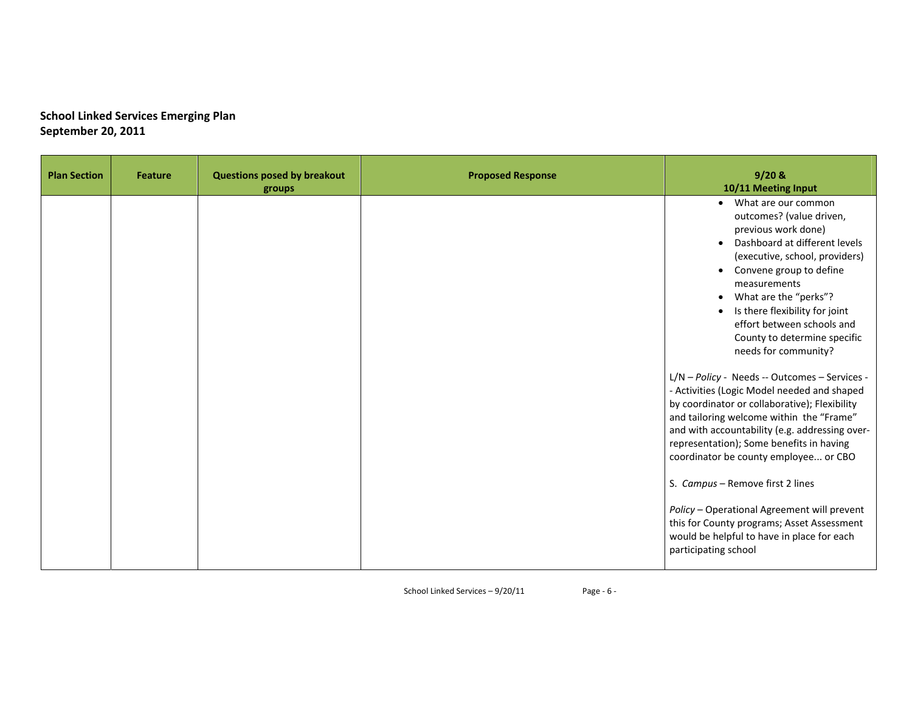| <b>Plan Section</b> | <b>Feature</b> | <b>Questions posed by breakout</b><br>groups | <b>Proposed Response</b> | $9/20$ &<br>10/11 Meeting Input                                                                                                                                                                                                                                                                                                         |
|---------------------|----------------|----------------------------------------------|--------------------------|-----------------------------------------------------------------------------------------------------------------------------------------------------------------------------------------------------------------------------------------------------------------------------------------------------------------------------------------|
|                     |                |                                              |                          | • What are our common<br>outcomes? (value driven,<br>previous work done)<br>Dashboard at different levels<br>(executive, school, providers)<br>Convene group to define<br>measurements<br>What are the "perks"?<br>Is there flexibility for joint<br>effort between schools and<br>County to determine specific<br>needs for community? |
|                     |                |                                              |                          | L/N - Policy - Needs -- Outcomes - Services -<br>- Activities (Logic Model needed and shaped<br>by coordinator or collaborative); Flexibility<br>and tailoring welcome within the "Frame"<br>and with accountability (e.g. addressing over-<br>representation); Some benefits in having<br>coordinator be county employee or CBO        |
|                     |                |                                              |                          | S. Campus - Remove first 2 lines<br>Policy - Operational Agreement will prevent<br>this for County programs; Asset Assessment<br>would be helpful to have in place for each<br>participating school                                                                                                                                     |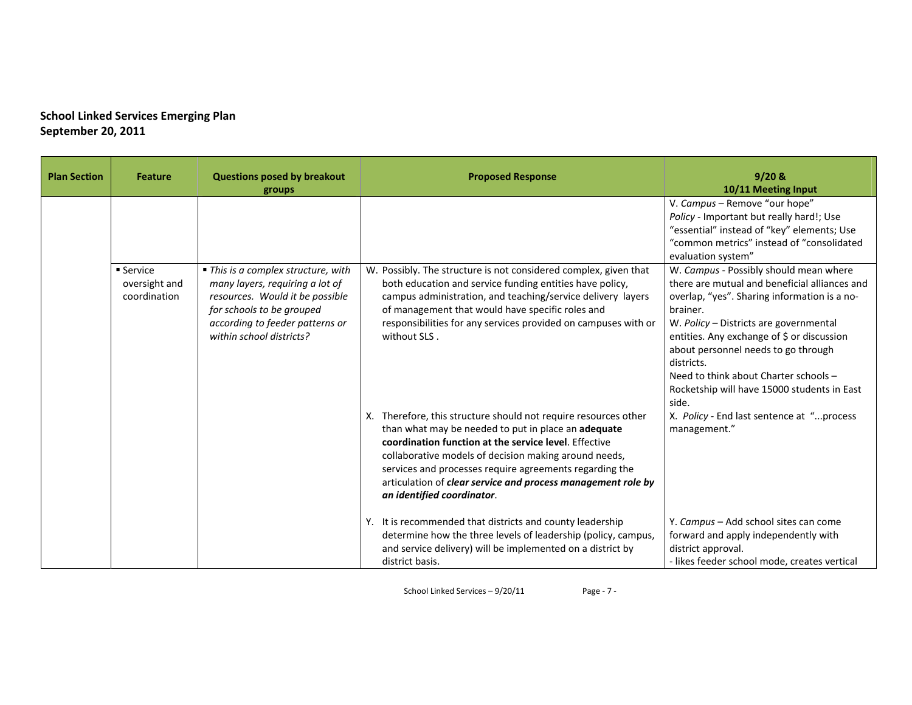| <b>Plan Section</b> | <b>Feature</b>                             | <b>Questions posed by breakout</b><br>groups                                                                                                                                                          | <b>Proposed Response</b>                                                                                                                                                                                                                                                                                                                                                                          | $9/20$ &<br>10/11 Meeting Input                                                                                                                                                                                                                                                                                                                                                                   |
|---------------------|--------------------------------------------|-------------------------------------------------------------------------------------------------------------------------------------------------------------------------------------------------------|---------------------------------------------------------------------------------------------------------------------------------------------------------------------------------------------------------------------------------------------------------------------------------------------------------------------------------------------------------------------------------------------------|---------------------------------------------------------------------------------------------------------------------------------------------------------------------------------------------------------------------------------------------------------------------------------------------------------------------------------------------------------------------------------------------------|
|                     |                                            |                                                                                                                                                                                                       |                                                                                                                                                                                                                                                                                                                                                                                                   | V. Campus - Remove "our hope"<br>Policy - Important but really hard!; Use<br>"essential" instead of "key" elements; Use<br>"common metrics" instead of "consolidated<br>evaluation system"                                                                                                                                                                                                        |
|                     | ■ Service<br>oversight and<br>coordination | • This is a complex structure, with<br>many layers, requiring a lot of<br>resources. Would it be possible<br>for schools to be grouped<br>according to feeder patterns or<br>within school districts? | W. Possibly. The structure is not considered complex, given that<br>both education and service funding entities have policy,<br>campus administration, and teaching/service delivery layers<br>of management that would have specific roles and<br>responsibilities for any services provided on campuses with or<br>without SLS.                                                                 | W. Campus - Possibly should mean where<br>there are mutual and beneficial alliances and<br>overlap, "yes". Sharing information is a no-<br>brainer.<br>W. Policy - Districts are governmental<br>entities. Any exchange of \$ or discussion<br>about personnel needs to go through<br>districts.<br>Need to think about Charter schools -<br>Rocketship will have 15000 students in East<br>side. |
|                     |                                            |                                                                                                                                                                                                       | X. Therefore, this structure should not require resources other<br>than what may be needed to put in place an adequate<br>coordination function at the service level. Effective<br>collaborative models of decision making around needs,<br>services and processes require agreements regarding the<br>articulation of clear service and process management role by<br>an identified coordinator. | X. Policy - End last sentence at "process<br>management."                                                                                                                                                                                                                                                                                                                                         |
|                     |                                            |                                                                                                                                                                                                       | It is recommended that districts and county leadership<br>Y.<br>determine how the three levels of leadership (policy, campus,<br>and service delivery) will be implemented on a district by<br>district basis.                                                                                                                                                                                    | Y. Campus - Add school sites can come<br>forward and apply independently with<br>district approval.<br>- likes feeder school mode, creates vertical                                                                                                                                                                                                                                               |

School Linked Services – 9/20/11 Page ‐ 7 ‐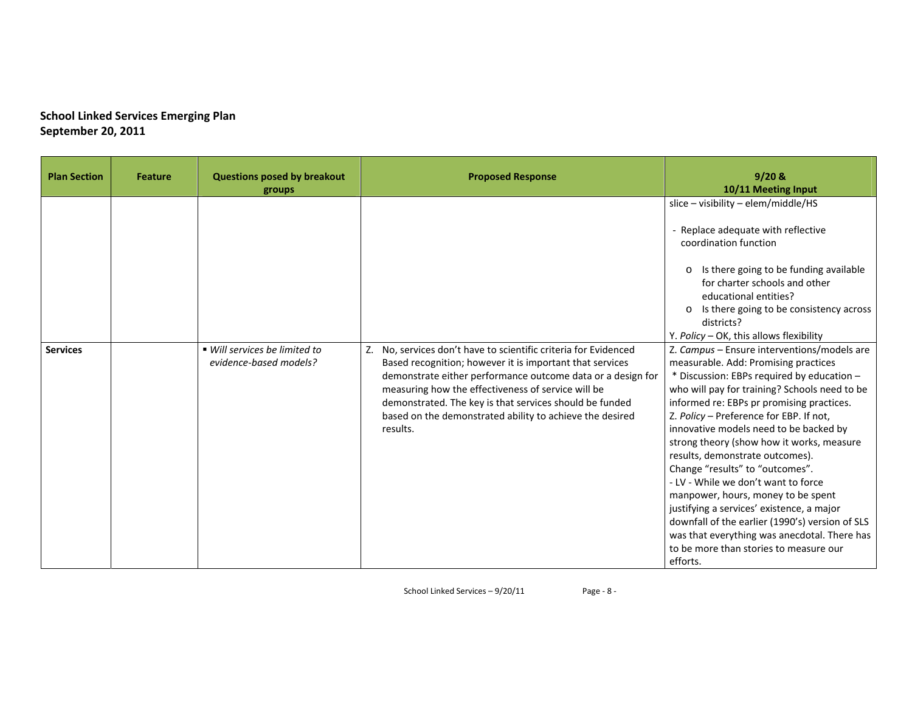| <b>Plan Section</b> | <b>Feature</b> | <b>Questions posed by breakout</b><br>groups            | <b>Proposed Response</b>                                                                                                                                                                                                                                                                                                                                                            | $9/20$ &<br>10/11 Meeting Input                                                                                                                                                                                                                                                                                                                                                                                                                                                                                                                                                                                                                                                                                                                                                                                                                                                                                                                                                                                                                      |
|---------------------|----------------|---------------------------------------------------------|-------------------------------------------------------------------------------------------------------------------------------------------------------------------------------------------------------------------------------------------------------------------------------------------------------------------------------------------------------------------------------------|------------------------------------------------------------------------------------------------------------------------------------------------------------------------------------------------------------------------------------------------------------------------------------------------------------------------------------------------------------------------------------------------------------------------------------------------------------------------------------------------------------------------------------------------------------------------------------------------------------------------------------------------------------------------------------------------------------------------------------------------------------------------------------------------------------------------------------------------------------------------------------------------------------------------------------------------------------------------------------------------------------------------------------------------------|
| <b>Services</b>     |                | ■ Will services be limited to<br>evidence-based models? | Z. No, services don't have to scientific criteria for Evidenced<br>Based recognition; however it is important that services<br>demonstrate either performance outcome data or a design for<br>measuring how the effectiveness of service will be<br>demonstrated. The key is that services should be funded<br>based on the demonstrated ability to achieve the desired<br>results. | slice - visibility - elem/middle/HS<br>- Replace adequate with reflective<br>coordination function<br>Is there going to be funding available<br>$\Omega$<br>for charter schools and other<br>educational entities?<br>Is there going to be consistency across<br>districts?<br>Y. Policy - OK, this allows flexibility<br>Z. Campus - Ensure interventions/models are<br>measurable. Add: Promising practices<br>* Discussion: EBPs required by education -<br>who will pay for training? Schools need to be<br>informed re: EBPs pr promising practices.<br>Z. Policy - Preference for EBP. If not,<br>innovative models need to be backed by<br>strong theory (show how it works, measure<br>results, demonstrate outcomes).<br>Change "results" to "outcomes".<br>- LV - While we don't want to force<br>manpower, hours, money to be spent<br>justifying a services' existence, a major<br>downfall of the earlier (1990's) version of SLS<br>was that everything was anecdotal. There has<br>to be more than stories to measure our<br>efforts. |

School Linked Services – 9/20/11 Page ‐ 8 ‐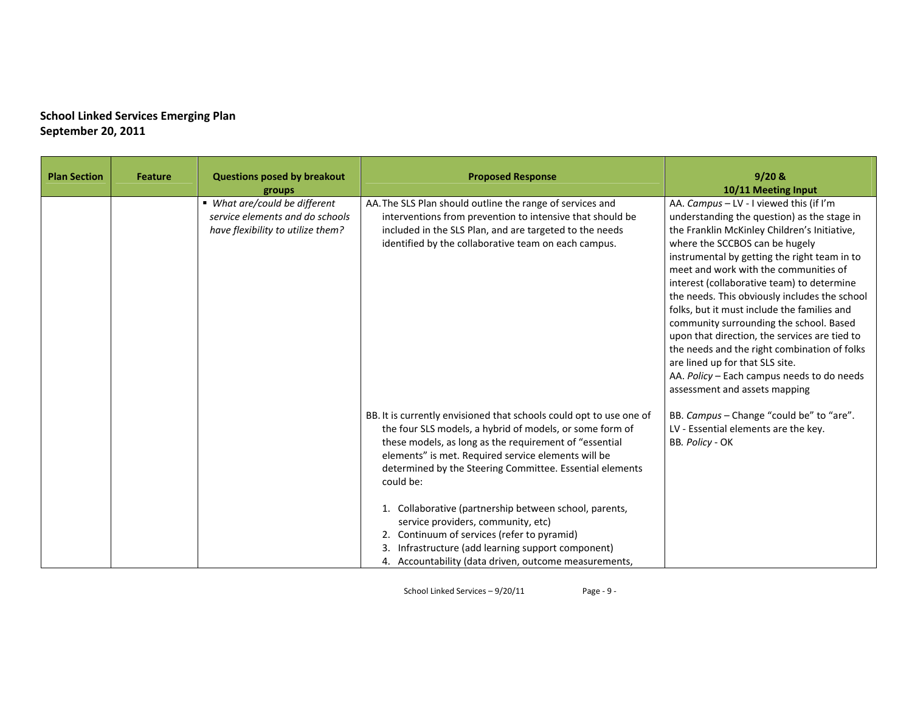| <b>Plan Section</b> | <b>Feature</b> | <b>Questions posed by breakout</b><br>groups                                                          | <b>Proposed Response</b>                                                                                                                                                                                                                                                                                                                                                                                                                                                                                                                                                                | $9/20$ &<br>10/11 Meeting Input                                                                                                                                                                                                                                                                                                                                                                                                                                                                                                                                                                                                                                               |
|---------------------|----------------|-------------------------------------------------------------------------------------------------------|-----------------------------------------------------------------------------------------------------------------------------------------------------------------------------------------------------------------------------------------------------------------------------------------------------------------------------------------------------------------------------------------------------------------------------------------------------------------------------------------------------------------------------------------------------------------------------------------|-------------------------------------------------------------------------------------------------------------------------------------------------------------------------------------------------------------------------------------------------------------------------------------------------------------------------------------------------------------------------------------------------------------------------------------------------------------------------------------------------------------------------------------------------------------------------------------------------------------------------------------------------------------------------------|
|                     |                | ■ What are/could be different<br>service elements and do schools<br>have flexibility to utilize them? | AA. The SLS Plan should outline the range of services and<br>interventions from prevention to intensive that should be<br>included in the SLS Plan, and are targeted to the needs<br>identified by the collaborative team on each campus.                                                                                                                                                                                                                                                                                                                                               | AA. Campus - LV - I viewed this (if I'm<br>understanding the question) as the stage in<br>the Franklin McKinley Children's Initiative,<br>where the SCCBOS can be hugely<br>instrumental by getting the right team in to<br>meet and work with the communities of<br>interest (collaborative team) to determine<br>the needs. This obviously includes the school<br>folks, but it must include the families and<br>community surrounding the school. Based<br>upon that direction, the services are tied to<br>the needs and the right combination of folks<br>are lined up for that SLS site.<br>AA. Policy - Each campus needs to do needs<br>assessment and assets mapping |
|                     |                |                                                                                                       | BB. It is currently envisioned that schools could opt to use one of<br>the four SLS models, a hybrid of models, or some form of<br>these models, as long as the requirement of "essential<br>elements" is met. Required service elements will be<br>determined by the Steering Committee. Essential elements<br>could be:<br>1. Collaborative (partnership between school, parents,<br>service providers, community, etc)<br>2. Continuum of services (refer to pyramid)<br>3. Infrastructure (add learning support component)<br>4. Accountability (data driven, outcome measurements, | BB. Campus - Change "could be" to "are".<br>LV - Essential elements are the key.<br>BB. Policy - OK                                                                                                                                                                                                                                                                                                                                                                                                                                                                                                                                                                           |

School Linked Services – 9/20/11 Page ‐ 9 ‐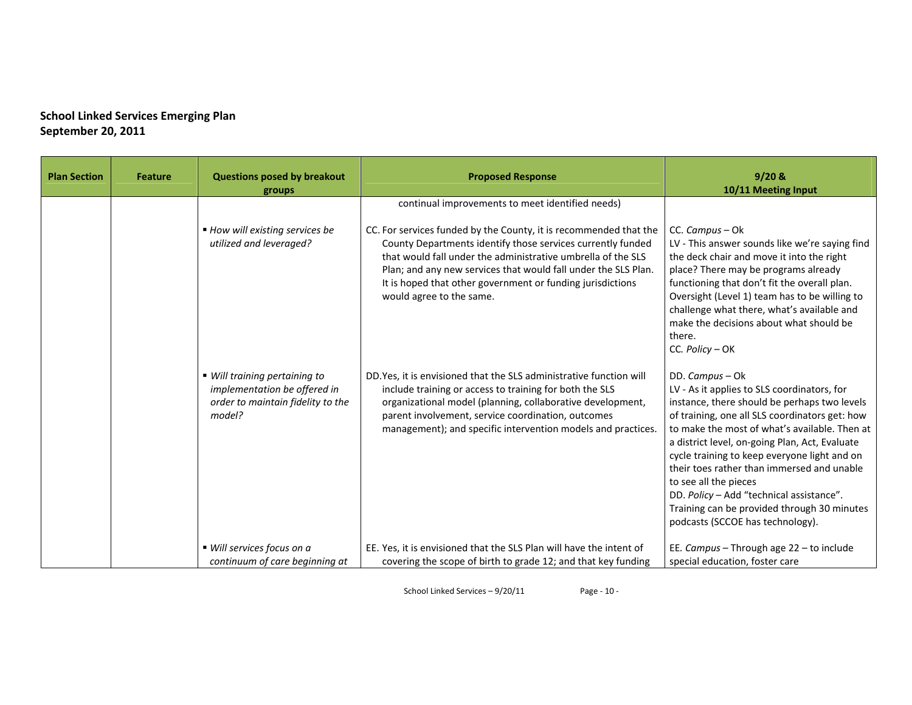| <b>Plan Section</b> | <b>Feature</b> | <b>Questions posed by breakout</b><br>groups                                                                 | <b>Proposed Response</b>                                                                                                                                                                                                                                                                                                                                                                                         | $9/20$ &<br>10/11 Meeting Input                                                                                                                                                                                                                                                                                                                                                                                                                                                                                           |
|---------------------|----------------|--------------------------------------------------------------------------------------------------------------|------------------------------------------------------------------------------------------------------------------------------------------------------------------------------------------------------------------------------------------------------------------------------------------------------------------------------------------------------------------------------------------------------------------|---------------------------------------------------------------------------------------------------------------------------------------------------------------------------------------------------------------------------------------------------------------------------------------------------------------------------------------------------------------------------------------------------------------------------------------------------------------------------------------------------------------------------|
|                     |                | ■ How will existing services be<br>utilized and leveraged?                                                   | continual improvements to meet identified needs)<br>CC. For services funded by the County, it is recommended that the<br>County Departments identify those services currently funded<br>that would fall under the administrative umbrella of the SLS<br>Plan; and any new services that would fall under the SLS Plan.<br>It is hoped that other government or funding jurisdictions<br>would agree to the same. | CC. Campus - Ok<br>LV - This answer sounds like we're saying find<br>the deck chair and move it into the right<br>place? There may be programs already<br>functioning that don't fit the overall plan.<br>Oversight (Level 1) team has to be willing to<br>challenge what there, what's available and<br>make the decisions about what should be<br>there.<br>CC. Policy - OK                                                                                                                                             |
|                     |                | ■ Will training pertaining to<br>implementation be offered in<br>order to maintain fidelity to the<br>model? | DD. Yes, it is envisioned that the SLS administrative function will<br>include training or access to training for both the SLS<br>organizational model (planning, collaborative development,<br>parent involvement, service coordination, outcomes<br>management); and specific intervention models and practices.                                                                                               | DD. Campus - Ok<br>LV - As it applies to SLS coordinators, for<br>instance, there should be perhaps two levels<br>of training, one all SLS coordinators get: how<br>to make the most of what's available. Then at<br>a district level, on-going Plan, Act, Evaluate<br>cycle training to keep everyone light and on<br>their toes rather than immersed and unable<br>to see all the pieces<br>DD. Policy - Add "technical assistance".<br>Training can be provided through 30 minutes<br>podcasts (SCCOE has technology). |
|                     |                | ■ Will services focus on a<br>continuum of care beginning at                                                 | EE. Yes, it is envisioned that the SLS Plan will have the intent of<br>covering the scope of birth to grade 12; and that key funding                                                                                                                                                                                                                                                                             | EE. Campus - Through age 22 - to include<br>special education, foster care                                                                                                                                                                                                                                                                                                                                                                                                                                                |

School Linked Services – 9/20/11 Page ‐ 10 ‐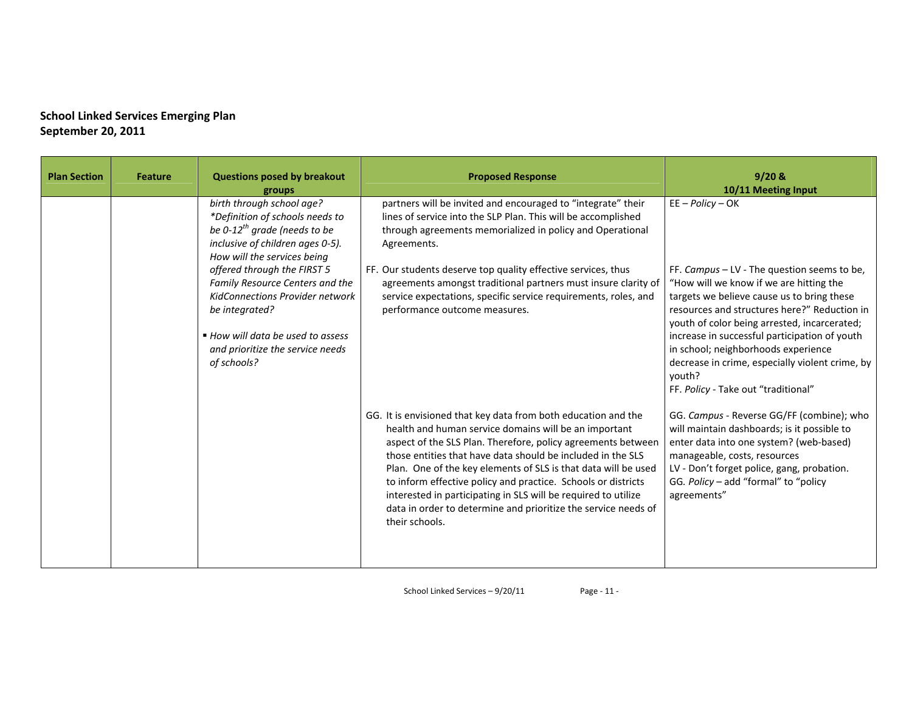| <b>Plan Section</b> | <b>Feature</b> | <b>Questions posed by breakout</b><br>groups                                                                                                                                                                                                                                                                                                                                                      | <b>Proposed Response</b>                                                                                                                                                                                                                                                                                                                                                                                                                                                                                                                        | $9/20$ &<br>10/11 Meeting Input                                                                                                                                                                                                                                                                                                                                                                                                                        |
|---------------------|----------------|---------------------------------------------------------------------------------------------------------------------------------------------------------------------------------------------------------------------------------------------------------------------------------------------------------------------------------------------------------------------------------------------------|-------------------------------------------------------------------------------------------------------------------------------------------------------------------------------------------------------------------------------------------------------------------------------------------------------------------------------------------------------------------------------------------------------------------------------------------------------------------------------------------------------------------------------------------------|--------------------------------------------------------------------------------------------------------------------------------------------------------------------------------------------------------------------------------------------------------------------------------------------------------------------------------------------------------------------------------------------------------------------------------------------------------|
|                     |                | birth through school age?<br>*Definition of schools needs to<br>be 0-12 <sup>th</sup> grade (needs to be<br>inclusive of children ages 0-5).<br>How will the services being<br>offered through the FIRST 5<br>Family Resource Centers and the<br><b>KidConnections Provider network</b><br>be integrated?<br>■ How will data be used to assess<br>and prioritize the service needs<br>of schools? | partners will be invited and encouraged to "integrate" their<br>lines of service into the SLP Plan. This will be accomplished<br>through agreements memorialized in policy and Operational<br>Agreements.<br>FF. Our students deserve top quality effective services, thus<br>agreements amongst traditional partners must insure clarity of<br>service expectations, specific service requirements, roles, and<br>performance outcome measures.                                                                                                | $EE - Policy - OK$<br>FF. Campus - LV - The question seems to be,<br>"How will we know if we are hitting the<br>targets we believe cause us to bring these<br>resources and structures here?" Reduction in<br>youth of color being arrested, incarcerated;<br>increase in successful participation of youth<br>in school; neighborhoods experience<br>decrease in crime, especially violent crime, by<br>youth?<br>FF. Policy - Take out "traditional" |
|                     |                |                                                                                                                                                                                                                                                                                                                                                                                                   | GG. It is envisioned that key data from both education and the<br>health and human service domains will be an important<br>aspect of the SLS Plan. Therefore, policy agreements between<br>those entities that have data should be included in the SLS<br>Plan. One of the key elements of SLS is that data will be used<br>to inform effective policy and practice. Schools or districts<br>interested in participating in SLS will be required to utilize<br>data in order to determine and prioritize the service needs of<br>their schools. | GG. Campus - Reverse GG/FF (combine); who<br>will maintain dashboards; is it possible to<br>enter data into one system? (web-based)<br>manageable, costs, resources<br>LV - Don't forget police, gang, probation.<br>GG. Policy - add "formal" to "policy<br>agreements"                                                                                                                                                                               |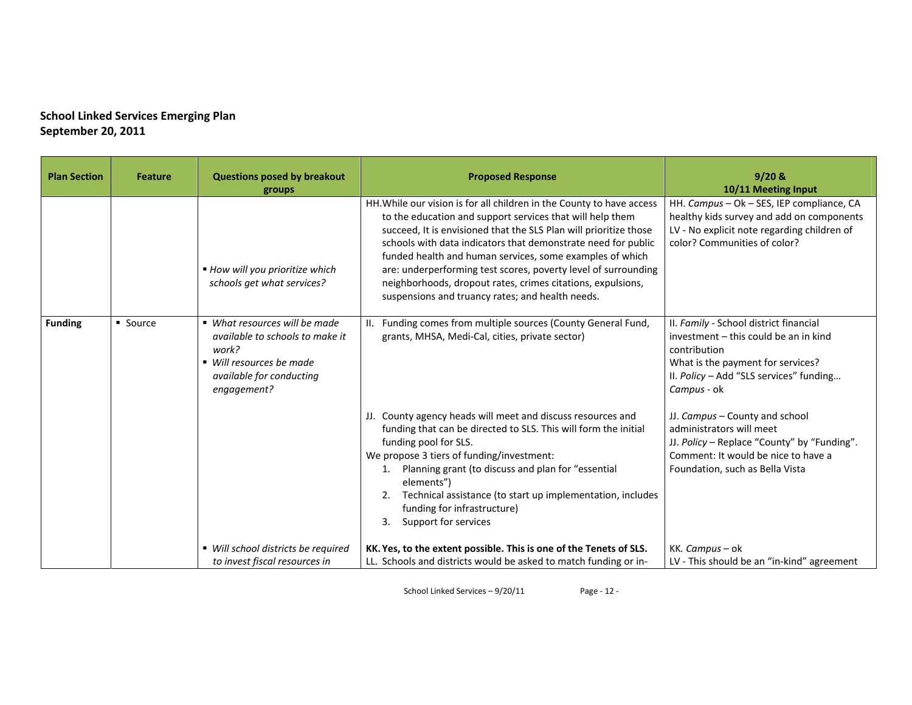| <b>Plan Section</b> | <b>Feature</b> | <b>Questions posed by breakout</b><br>groups                                                                                                     | <b>Proposed Response</b>                                                                                                                                                                                                                                                                                                                                                                                                                                                                                                  | $9/20$ &<br>10/11 Meeting Input                                                                                                                                                                |
|---------------------|----------------|--------------------------------------------------------------------------------------------------------------------------------------------------|---------------------------------------------------------------------------------------------------------------------------------------------------------------------------------------------------------------------------------------------------------------------------------------------------------------------------------------------------------------------------------------------------------------------------------------------------------------------------------------------------------------------------|------------------------------------------------------------------------------------------------------------------------------------------------------------------------------------------------|
|                     |                | ■ How will you prioritize which<br>schools get what services?                                                                                    | HH. While our vision is for all children in the County to have access<br>to the education and support services that will help them<br>succeed, It is envisioned that the SLS Plan will prioritize those<br>schools with data indicators that demonstrate need for public<br>funded health and human services, some examples of which<br>are: underperforming test scores, poverty level of surrounding<br>neighborhoods, dropout rates, crimes citations, expulsions,<br>suspensions and truancy rates; and health needs. | HH. Campus - Ok - SES, IEP compliance, CA<br>healthy kids survey and add on components<br>LV - No explicit note regarding children of<br>color? Communities of color?                          |
| <b>Funding</b>      | • Source       | • What resources will be made<br>available to schools to make it<br>work?<br>■ Will resources be made<br>available for conducting<br>engagement? | Funding comes from multiple sources (County General Fund,<br>grants, MHSA, Medi-Cal, cities, private sector)                                                                                                                                                                                                                                                                                                                                                                                                              | II. Family - School district financial<br>investment - this could be an in kind<br>contribution<br>What is the payment for services?<br>II. Policy - Add "SLS services" funding<br>Campus - ok |
|                     |                |                                                                                                                                                  | JJ. County agency heads will meet and discuss resources and<br>funding that can be directed to SLS. This will form the initial<br>funding pool for SLS.<br>We propose 3 tiers of funding/investment:<br>Planning grant (to discuss and plan for "essential<br>1.<br>elements")<br>Technical assistance (to start up implementation, includes<br>2.<br>funding for infrastructure)<br>Support for services<br>3.                                                                                                           | JJ. Campus - County and school<br>administrators will meet<br>JJ. Policy - Replace "County" by "Funding".<br>Comment: It would be nice to have a<br>Foundation, such as Bella Vista            |
|                     |                | ■ Will school districts be required<br>to invest fiscal resources in                                                                             | KK. Yes, to the extent possible. This is one of the Tenets of SLS.<br>LL. Schools and districts would be asked to match funding or in-                                                                                                                                                                                                                                                                                                                                                                                    | KK. Campus - ok<br>LV - This should be an "in-kind" agreement                                                                                                                                  |

School Linked Services – 9/20/11 Page ‐ 12 ‐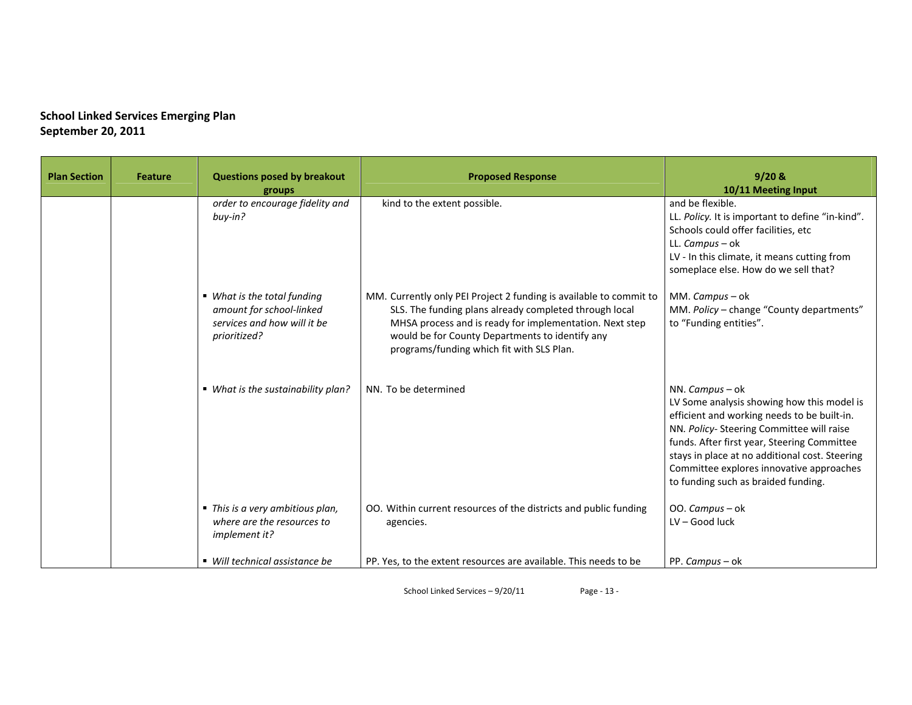| <b>Plan Section</b> | <b>Feature</b> | <b>Questions posed by breakout</b><br>groups                                                           | <b>Proposed Response</b>                                                                                                                                                                                                                                                                | 9/20 &<br>10/11 Meeting Input                                                                                                                                                                                                                                                                                                                |
|---------------------|----------------|--------------------------------------------------------------------------------------------------------|-----------------------------------------------------------------------------------------------------------------------------------------------------------------------------------------------------------------------------------------------------------------------------------------|----------------------------------------------------------------------------------------------------------------------------------------------------------------------------------------------------------------------------------------------------------------------------------------------------------------------------------------------|
|                     |                | order to encourage fidelity and<br>buy-in?                                                             | kind to the extent possible.                                                                                                                                                                                                                                                            | and be flexible.<br>LL. Policy. It is important to define "in-kind".<br>Schools could offer facilities, etc<br>LL. Campus - ok<br>LV - In this climate, it means cutting from<br>someplace else. How do we sell that?                                                                                                                        |
|                     |                | ■ What is the total funding<br>amount for school-linked<br>services and how will it be<br>prioritized? | MM. Currently only PEI Project 2 funding is available to commit to<br>SLS. The funding plans already completed through local<br>MHSA process and is ready for implementation. Next step<br>would be for County Departments to identify any<br>programs/funding which fit with SLS Plan. | MM. Campus - ok<br>MM. Policy - change "County departments"<br>to "Funding entities".                                                                                                                                                                                                                                                        |
|                     |                | ■ What is the sustainability plan?                                                                     | NN. To be determined                                                                                                                                                                                                                                                                    | NN. Campus - ok<br>LV Some analysis showing how this model is<br>efficient and working needs to be built-in.<br>NN. Policy-Steering Committee will raise<br>funds. After first year, Steering Committee<br>stays in place at no additional cost. Steering<br>Committee explores innovative approaches<br>to funding such as braided funding. |
|                     |                | ■ This is a very ambitious plan,<br>where are the resources to<br>implement it?                        | OO. Within current resources of the districts and public funding<br>agencies.                                                                                                                                                                                                           | OO. Campus - ok<br>LV - Good luck                                                                                                                                                                                                                                                                                                            |
|                     |                | • Will technical assistance be                                                                         | PP. Yes, to the extent resources are available. This needs to be                                                                                                                                                                                                                        | PP. Campus - ok                                                                                                                                                                                                                                                                                                                              |

School Linked Services – 9/20/11 Page ‐ 13 ‐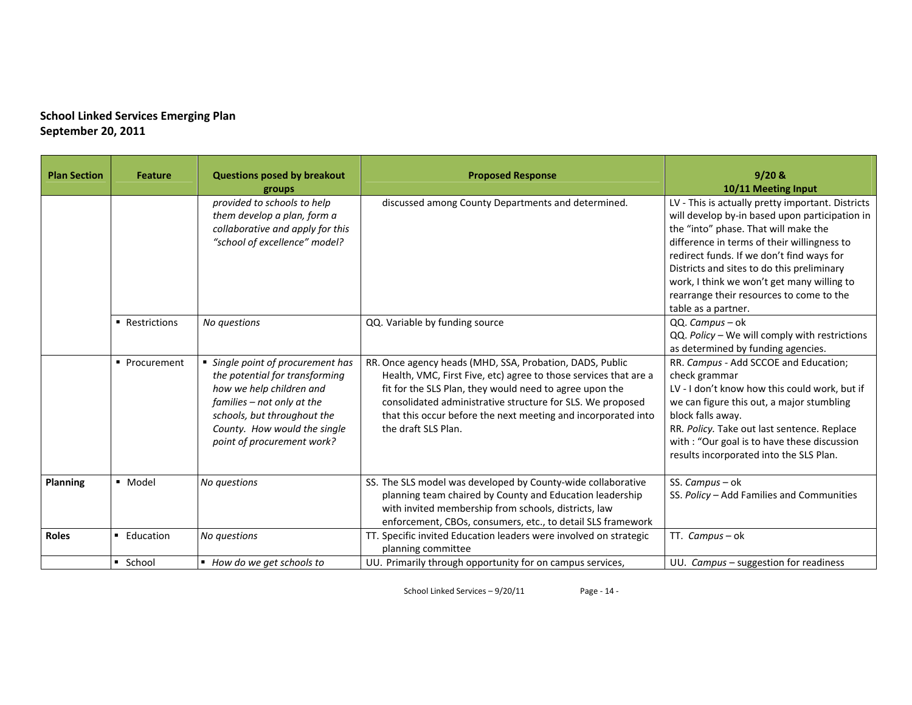| <b>Plan Section</b> | <b>Feature</b> | <b>Questions posed by breakout</b><br>groups                                                                                                                                                                               | <b>Proposed Response</b>                                                                                                                                                                                                                                                                                                                      | 9/20 &<br>10/11 Meeting Input                                                                                                                                                                                                                                                                                                                                                                          |
|---------------------|----------------|----------------------------------------------------------------------------------------------------------------------------------------------------------------------------------------------------------------------------|-----------------------------------------------------------------------------------------------------------------------------------------------------------------------------------------------------------------------------------------------------------------------------------------------------------------------------------------------|--------------------------------------------------------------------------------------------------------------------------------------------------------------------------------------------------------------------------------------------------------------------------------------------------------------------------------------------------------------------------------------------------------|
|                     |                | provided to schools to help<br>them develop a plan, form a<br>collaborative and apply for this<br>"school of excellence" model?                                                                                            | discussed among County Departments and determined.                                                                                                                                                                                                                                                                                            | LV - This is actually pretty important. Districts<br>will develop by-in based upon participation in<br>the "into" phase. That will make the<br>difference in terms of their willingness to<br>redirect funds. If we don't find ways for<br>Districts and sites to do this preliminary<br>work, I think we won't get many willing to<br>rearrange their resources to come to the<br>table as a partner. |
|                     | • Restrictions | No questions                                                                                                                                                                                                               | QQ. Variable by funding source                                                                                                                                                                                                                                                                                                                | QQ. Campus - ok<br>QQ. Policy - We will comply with restrictions<br>as determined by funding agencies.                                                                                                                                                                                                                                                                                                 |
|                     | • Procurement  | • Single point of procurement has<br>the potential for transforming<br>how we help children and<br>families - not only at the<br>schools, but throughout the<br>County. How would the single<br>point of procurement work? | RR. Once agency heads (MHD, SSA, Probation, DADS, Public<br>Health, VMC, First Five, etc) agree to those services that are a<br>fit for the SLS Plan, they would need to agree upon the<br>consolidated administrative structure for SLS. We proposed<br>that this occur before the next meeting and incorporated into<br>the draft SLS Plan. | RR. Campus - Add SCCOE and Education;<br>check grammar<br>LV - I don't know how this could work, but if<br>we can figure this out, a major stumbling<br>block falls away.<br>RR. Policy. Take out last sentence. Replace<br>with : "Our goal is to have these discussion<br>results incorporated into the SLS Plan.                                                                                    |
| Planning            | · Model        | No questions                                                                                                                                                                                                               | SS. The SLS model was developed by County-wide collaborative<br>planning team chaired by County and Education leadership<br>with invited membership from schools, districts, law<br>enforcement, CBOs, consumers, etc., to detail SLS framework                                                                                               | SS. Campus - ok<br>SS. Policy - Add Families and Communities                                                                                                                                                                                                                                                                                                                                           |
| <b>Roles</b>        | ■ Education    | No questions                                                                                                                                                                                                               | TT. Specific invited Education leaders were involved on strategic<br>planning committee                                                                                                                                                                                                                                                       | TT. Campus-ok                                                                                                                                                                                                                                                                                                                                                                                          |
|                     | School         | ■ How do we get schools to                                                                                                                                                                                                 | UU. Primarily through opportunity for on campus services,                                                                                                                                                                                                                                                                                     | UU. Campus $-$ suggestion for readiness                                                                                                                                                                                                                                                                                                                                                                |

School Linked Services – 9/20/11 Page ‐ 14 ‐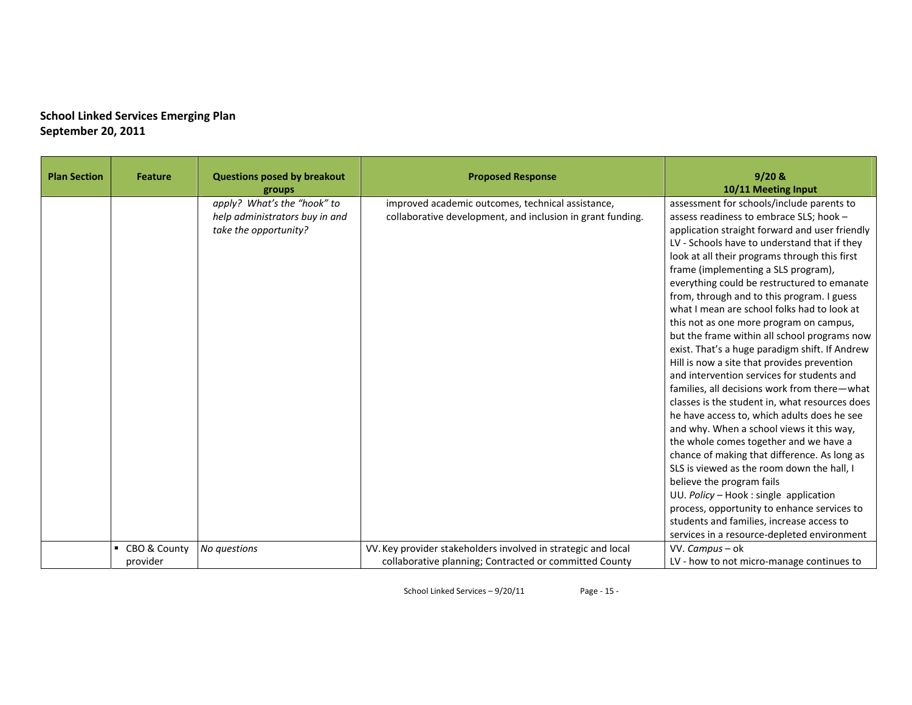| <b>Plan Section</b> | <b>Feature</b>           | <b>Questions posed by breakout</b><br>groups                                           | <b>Proposed Response</b>                                                                                                | 9/20 &<br>10/11 Meeting Input                                                                                                                                                                                                                                                                                                                                                                                                                                                                                                                                                                                                                                                                                                                                                                                                                                                                                                                                                                                                                                                                                                                                                                                                |
|---------------------|--------------------------|----------------------------------------------------------------------------------------|-------------------------------------------------------------------------------------------------------------------------|------------------------------------------------------------------------------------------------------------------------------------------------------------------------------------------------------------------------------------------------------------------------------------------------------------------------------------------------------------------------------------------------------------------------------------------------------------------------------------------------------------------------------------------------------------------------------------------------------------------------------------------------------------------------------------------------------------------------------------------------------------------------------------------------------------------------------------------------------------------------------------------------------------------------------------------------------------------------------------------------------------------------------------------------------------------------------------------------------------------------------------------------------------------------------------------------------------------------------|
|                     |                          | apply? What's the "hook" to<br>help administrators buy in and<br>take the opportunity? | improved academic outcomes, technical assistance,<br>collaborative development, and inclusion in grant funding.         | assessment for schools/include parents to<br>assess readiness to embrace SLS; hook -<br>application straight forward and user friendly<br>LV - Schools have to understand that if they<br>look at all their programs through this first<br>frame (implementing a SLS program),<br>everything could be restructured to emanate<br>from, through and to this program. I guess<br>what I mean are school folks had to look at<br>this not as one more program on campus,<br>but the frame within all school programs now<br>exist. That's a huge paradigm shift. If Andrew<br>Hill is now a site that provides prevention<br>and intervention services for students and<br>families, all decisions work from there-what<br>classes is the student in, what resources does<br>he have access to, which adults does he see<br>and why. When a school views it this way,<br>the whole comes together and we have a<br>chance of making that difference. As long as<br>SLS is viewed as the room down the hall, I<br>believe the program fails<br>UU. Policy - Hook : single application<br>process, opportunity to enhance services to<br>students and families, increase access to<br>services in a resource-depleted environment |
|                     | CBO & County<br>provider | No questions                                                                           | VV. Key provider stakeholders involved in strategic and local<br>collaborative planning; Contracted or committed County | VV. Campus - ok<br>LV - how to not micro-manage continues to                                                                                                                                                                                                                                                                                                                                                                                                                                                                                                                                                                                                                                                                                                                                                                                                                                                                                                                                                                                                                                                                                                                                                                 |

School Linked Services – 9/20/11 Page ‐ 15 ‐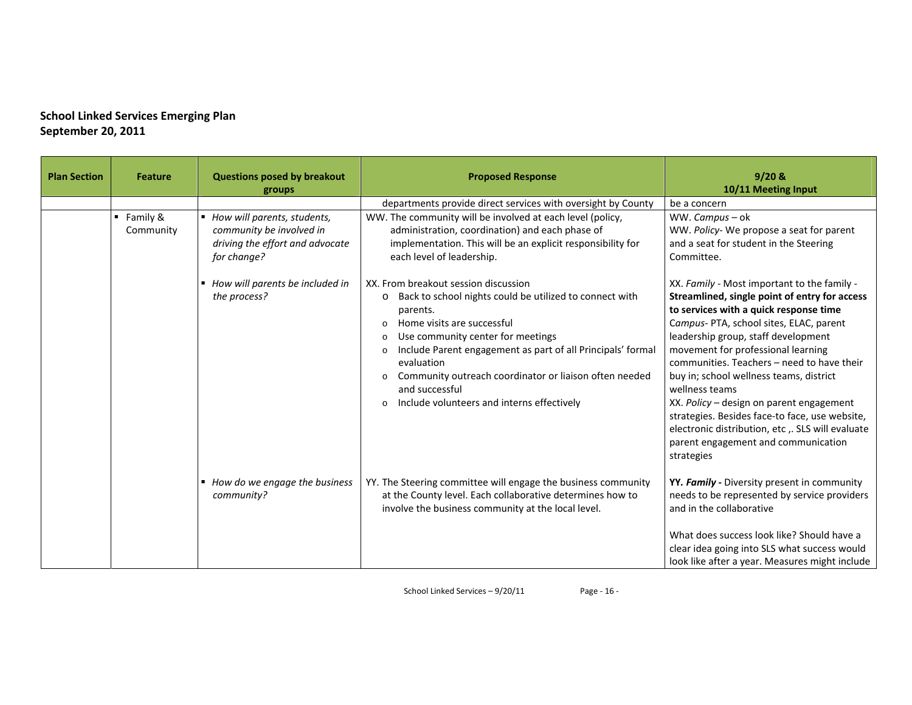| <b>Plan Section</b> | <b>Feature</b>                       | <b>Questions posed by breakout</b><br>groups                                                                | <b>Proposed Response</b>                                                                                                                                                                                                                                                                                                                                                                                                  | $9/20$ &<br>10/11 Meeting Input                                                                                                                                                                                                                                                                                                                                                                                                                                                                                                                                                 |
|---------------------|--------------------------------------|-------------------------------------------------------------------------------------------------------------|---------------------------------------------------------------------------------------------------------------------------------------------------------------------------------------------------------------------------------------------------------------------------------------------------------------------------------------------------------------------------------------------------------------------------|---------------------------------------------------------------------------------------------------------------------------------------------------------------------------------------------------------------------------------------------------------------------------------------------------------------------------------------------------------------------------------------------------------------------------------------------------------------------------------------------------------------------------------------------------------------------------------|
|                     |                                      |                                                                                                             | departments provide direct services with oversight by County                                                                                                                                                                                                                                                                                                                                                              | be a concern                                                                                                                                                                                                                                                                                                                                                                                                                                                                                                                                                                    |
|                     | $\blacksquare$ Family &<br>Community | ■ How will parents, students,<br>community be involved in<br>driving the effort and advocate<br>for change? | WW. The community will be involved at each level (policy,<br>administration, coordination) and each phase of<br>implementation. This will be an explicit responsibility for<br>each level of leadership.                                                                                                                                                                                                                  | WW. Campus – ok<br>WW. Policy- We propose a seat for parent<br>and a seat for student in the Steering<br>Committee.                                                                                                                                                                                                                                                                                                                                                                                                                                                             |
|                     |                                      | ■ How will parents be included in<br>the process?                                                           | XX. From breakout session discussion<br>Back to school nights could be utilized to connect with<br>$\circ$<br>parents.<br>Home visits are successful<br>$\Omega$<br>Use community center for meetings<br>Include Parent engagement as part of all Principals' formal<br>$\circ$<br>evaluation<br>Community outreach coordinator or liaison often needed<br>and successful<br>o Include volunteers and interns effectively | XX. Family - Most important to the family -<br>Streamlined, single point of entry for access<br>to services with a quick response time<br>Campus- PTA, school sites, ELAC, parent<br>leadership group, staff development<br>movement for professional learning<br>communities. Teachers - need to have their<br>buy in; school wellness teams, district<br>wellness teams<br>XX. Policy - design on parent engagement<br>strategies. Besides face-to face, use website,<br>electronic distribution, etc, SLS will evaluate<br>parent engagement and communication<br>strategies |
|                     |                                      | ■ How do we engage the business<br>community?                                                               | YY. The Steering committee will engage the business community<br>at the County level. Each collaborative determines how to<br>involve the business community at the local level.                                                                                                                                                                                                                                          | YY. Family - Diversity present in community<br>needs to be represented by service providers<br>and in the collaborative<br>What does success look like? Should have a<br>clear idea going into SLS what success would<br>look like after a year. Measures might include                                                                                                                                                                                                                                                                                                         |

School Linked Services – 9/20/11 Page ‐ 16 ‐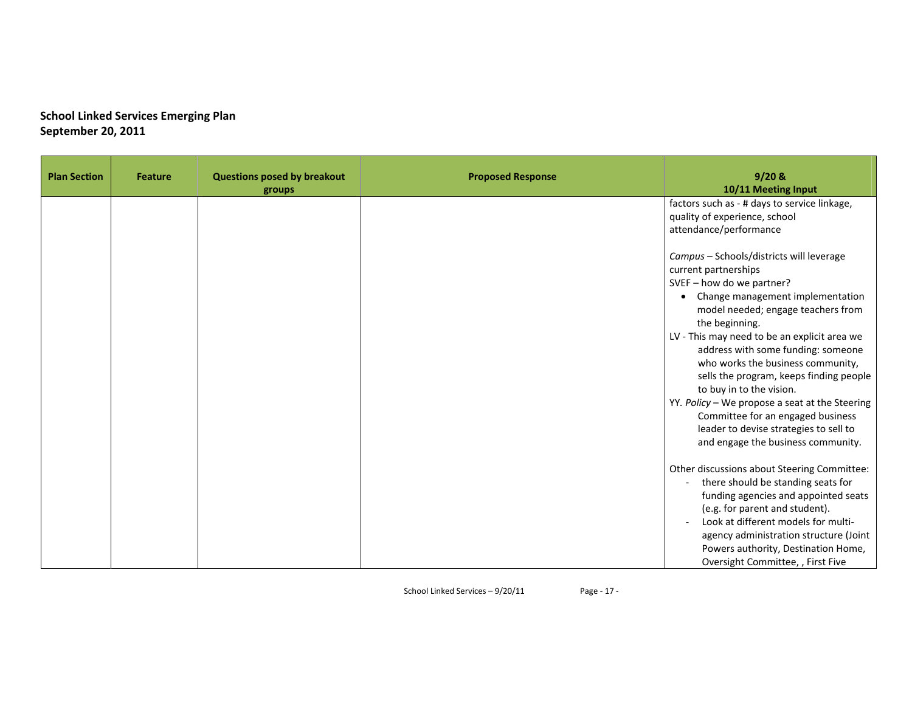| <b>Plan Section</b> | <b>Feature</b> | <b>Questions posed by breakout</b><br>groups | <b>Proposed Response</b> | 9/20 &<br>10/11 Meeting Input                                                                                                                                                                                                                                                                                                                                                                                                                                                                                                                                                   |
|---------------------|----------------|----------------------------------------------|--------------------------|---------------------------------------------------------------------------------------------------------------------------------------------------------------------------------------------------------------------------------------------------------------------------------------------------------------------------------------------------------------------------------------------------------------------------------------------------------------------------------------------------------------------------------------------------------------------------------|
|                     |                |                                              |                          | factors such as - # days to service linkage,<br>quality of experience, school<br>attendance/performance                                                                                                                                                                                                                                                                                                                                                                                                                                                                         |
|                     |                |                                              |                          | Campus - Schools/districts will leverage<br>current partnerships<br>SVEF - how do we partner?<br>Change management implementation<br>$\bullet$<br>model needed; engage teachers from<br>the beginning.<br>LV - This may need to be an explicit area we<br>address with some funding: someone<br>who works the business community,<br>sells the program, keeps finding people<br>to buy in to the vision.<br>YY. Policy - We propose a seat at the Steering<br>Committee for an engaged business<br>leader to devise strategies to sell to<br>and engage the business community. |
|                     |                |                                              |                          | Other discussions about Steering Committee:<br>there should be standing seats for<br>funding agencies and appointed seats<br>(e.g. for parent and student).<br>Look at different models for multi-<br>agency administration structure (Joint<br>Powers authority, Destination Home,<br>Oversight Committee, , First Five                                                                                                                                                                                                                                                        |